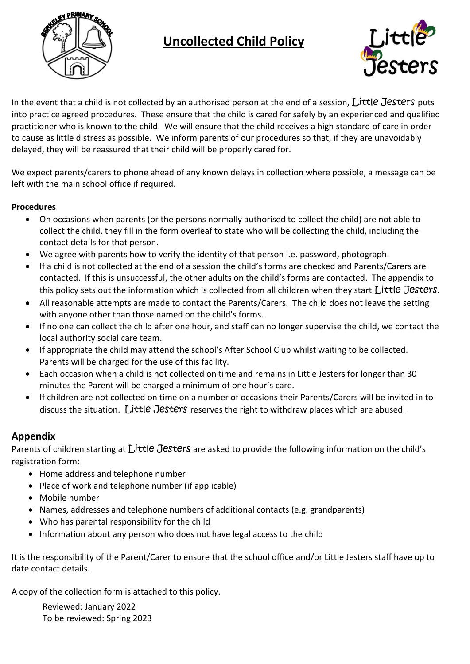

## **Uncollected Child Policy**



In the event that a child is not collected by an authorised person at the end of a session, Little Jesters puts into practice agreed procedures. These ensure that the child is cared for safely by an experienced and qualified practitioner who is known to the child. We will ensure that the child receives a high standard of care in order to cause as little distress as possible. We inform parents of our procedures so that, if they are unavoidably delayed, they will be reassured that their child will be properly cared for.

We expect parents/carers to phone ahead of any known delays in collection where possible, a message can be left with the main school office if required.

## **Procedures**

- On occasions when parents (or the persons normally authorised to collect the child) are not able to collect the child, they fill in the form overleaf to state who will be collecting the child, including the contact details for that person.
- We agree with parents how to verify the identity of that person i.e. password, photograph.
- If a child is not collected at the end of a session the child's forms are checked and Parents/Carers are contacted. If this is unsuccessful, the other adults on the child's forms are contacted. The appendix to this policy sets out the information which is collected from all children when they start  $\iota$  ittle Jesters.
- All reasonable attempts are made to contact the Parents/Carers. The child does not leave the setting with anyone other than those named on the child's forms.
- If no one can collect the child after one hour, and staff can no longer supervise the child, we contact the local authority social care team.
- If appropriate the child may attend the school's After School Club whilst waiting to be collected. Parents will be charged for the use of this facility.
- Each occasion when a child is not collected on time and remains in Little Jesters for longer than 30 minutes the Parent will be charged a minimum of one hour's care.
- If children are not collected on time on a number of occasions their Parents/Carers will be invited in to discuss the situation. Little Jesters reserves the right to withdraw places which are abused.

## **Appendix**

Parents of children starting at Little Jesters are asked to provide the following information on the child's registration form:

- Home address and telephone number
- Place of work and telephone number (if applicable)
- Mobile number
- Names, addresses and telephone numbers of additional contacts (e.g. grandparents)
- Who has parental responsibility for the child
- Information about any person who does not have legal access to the child

It is the responsibility of the Parent/Carer to ensure that the school office and/or Little Jesters staff have up to date contact details.

A copy of the collection form is attached to this policy.

Reviewed: January 2022 To be reviewed: Spring 2023